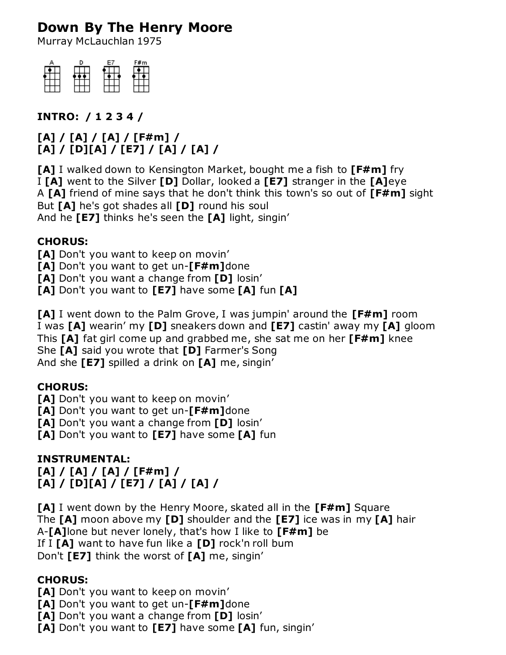# **Down By The Henry Moore**

Murray McLauchlan 1975



**INTRO: / 1 2 3 4 /**

**[A] / [A] / [A] / [F#m] / [A] / [D][A] / [E7] / [A] / [A] /**

**[A]** I walked down to Kensington Market, bought me a fish to **[F#m]** fry I **[A]** went to the Silver **[D]** Dollar, looked a **[E7]** stranger in the **[A]**eye A **[A]** friend of mine says that he don't think this town's so out of **[F#m]** sight But **[A]** he's got shades all **[D]** round his soul And he **[E7]** thinks he's seen the **[A]** light, singin'

## **CHORUS:**

[A] Don't you want to keep on movin'

**[A]** Don't you want to get un-**[F#m]**done

**[A]** Don't you want a change from **[D]** losin'

**[A]** Don't you want to **[E7]** have some **[A]** fun **[A]**

**[A]** I went down to the Palm Grove, I was jumpin' around the **[F#m]** room I was **[A]** wearin' my **[D]** sneakers down and **[E7]** castin' away my **[A]** gloom This **[A]** fat girl come up and grabbed me, she sat me on her **[F#m]** knee She **[A]** said you wrote that **[D]** Farmer's Song And she **[E7]** spilled a drink on **[A]** me, singin'

### **CHORUS:**

**[A]** Don't you want to keep on movin'

**[A]** Don't you want to get un-**[F#m]**done

**[A]** Don't you want a change from **[D]** losin'

**[A]** Don't you want to **[E7]** have some **[A]** fun

### **INSTRUMENTAL:**

#### **[A] / [A] / [A] / [F#m] / [A] / [D][A] / [E7] / [A] / [A] /**

**[A]** I went down by the Henry Moore, skated all in the **[F#m]** Square The **[A]** moon above my **[D]** shoulder and the **[E7]** ice was in my **[A]** hair A-**[A]**lone but never lonely, that's how I like to **[F#m]** be If I **[A]** want to have fun like a **[D]** rock'n roll bum Don't **[E7]** think the worst of **[A]** me, singin'

### **CHORUS:**

**[A]** Don't you want to keep on movin'

**[A]** Don't you want to get un-**[F#m]**done

**[A]** Don't you want a change from **[D]** losin'

**[A]** Don't you want to **[E7]** have some **[A]** fun, singin'